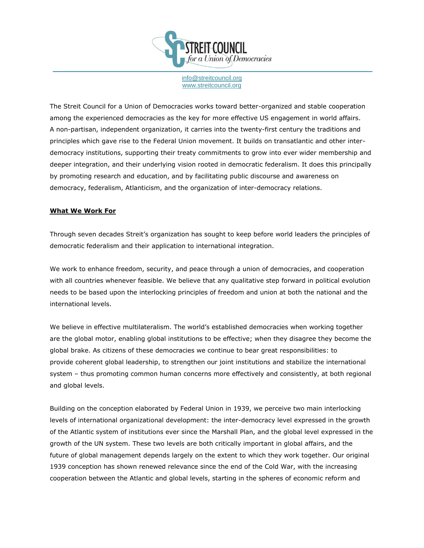

[info@streitcouncil.org](mailto:info@streitcouncil.org) [www.streitcouncil.org](http://www.streitcouncil.org/)

The Streit Council for a Union of Democracies works toward better-organized and stable cooperation among the experienced democracies as the key for more effective US engagement in world affairs. A non-partisan, independent organization, it carries into the twenty-first century the traditions and principles which gave rise to the Federal Union movement. It builds on transatlantic and other interdemocracy institutions, supporting their treaty commitments to grow into ever wider membership and deeper integration, and their underlying vision rooted in democratic federalism. It does this principally by promoting research and education, and by facilitating public discourse and awareness on democracy, federalism, Atlanticism, and the organization of inter-democracy relations.

## **What We Work For**

Through seven decades Streit's organization has sought to keep before world leaders the principles of democratic federalism and their application to international integration.

We work to enhance freedom, security, and peace through a union of democracies, and cooperation with all countries whenever feasible. We believe that any qualitative step forward in political evolution needs to be based upon the interlocking principles of freedom and union at both the national and the international levels.

We believe in effective multilateralism. The world's established democracies when working together are the global motor, enabling global institutions to be effective; when they disagree they become the global brake. As citizens of these democracies we continue to bear great responsibilities: to provide coherent global leadership, to strengthen our joint institutions and stabilize the international system – thus promoting common human concerns more effectively and consistently, at both regional and global levels.

Building on the conception elaborated by Federal Union in 1939, we perceive two main interlocking levels of international organizational development: the inter-democracy level expressed in the growth of the Atlantic system of institutions ever since the Marshall Plan, and the global level expressed in the growth of the UN system. These two levels are both critically important in global affairs, and the future of global management depends largely on the extent to which they work together. Our original 1939 conception has shown renewed relevance since the end of the Cold War, with the increasing cooperation between the Atlantic and global levels, starting in the spheres of economic reform and